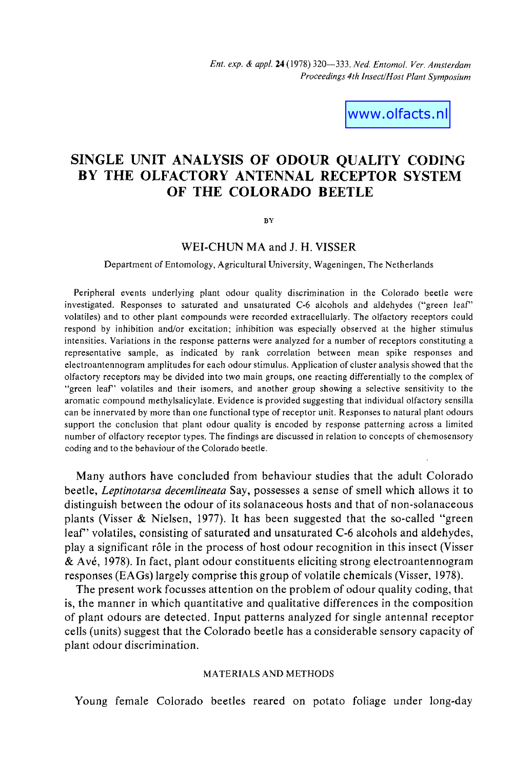www.olfacts.nl

# **SINGLE UNIT ANALYSIS OF ODOUR QUALITY CODING BY THE OLFACTORY ANTENNAL RECEPTOR SYSTEM OF THE COLORADO BEETLE**

**BY** 

# WEI-CHUN MA and **J. H.** VISSER

#### Department of Entomology, Agricultural University, Wageningen, The Netherlands

Peripheral events underlying plant odour quality discrimination in the Colorado beetle were investigated. Responses to saturated and unsaturated C-6 alcohols and aldehydes ("green leaf" volatiles) and to other plant compounds were recorded extracellularly. The olfactory receptors could respond by inhibition and/or excitation; inhibition was especially observed at the higher stimulus intensities. Variations in the response patterns were analyzed for a number of receptors constituting a representative sample, as indicated by rank correlation between mean spike responses and electroantennogram amplitudes for each odour stimulus. Application of cluster analysis showed that the olfactory receptors may be divided into two main groups, one reacting differentially to the complex of "green leaf'' volatiles and their isomers, and another group showing a selective sensitivity to the aromatic compound methylsalicylate. Evidence is provided suggesting that individual olfactory sensilla can be innervated by more than one functional type of receptor unit, Responses to natural plant odours support the conclusion that plant odour quality is encoded by response patterning across a limited number of olfactory receptor types. The findings are discussed in relation to concepts of chemosensory coding and to the behaviour of the Colorado beetle.

Many authors have concluded from behaviour studies that the adult Colorado beetle, *Leptinotarsa decemlineata* Say, possesses a sense of smell which allows it to distinguish between the odour of its solanaceous hosts and that of non-solanaceous plants (Visser & Nielsen, 1977). It has been suggested that the so-called "green leaf'' volatiles, consisting of saturated and unsaturated C-6 alcohols and aldehydes, play a significant r61e in the process of host odour recognition in this insect (Visser & Ave, 1978). In fact, plant odour constituents eliciting strong electroantennogram responses (EAGs) largely comprise this group of volatile chemicals (Visser, 1978).

The present work focusses attention on the problem of odour quality coding, that is, the manner in which quantitative and qualitative differences in the composition of plant odours are detected. Input patterns analyzed for single antennal receptor cells (units) suggest that the Colorado beetle has a considerable sensory capacity of plant odour discrimination.

# MATERIALS AND METHODS

Young female Colorado beetles reared on potato foliage under long-day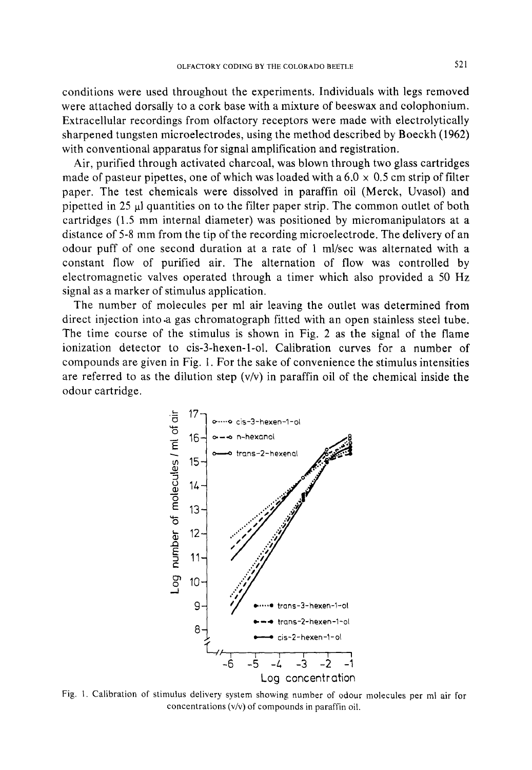conditions were used throughout the experiments. Individuals with legs removed were attached dorsally to a cork base with a mixture of beeswax and colophonium. Extracellular recordings from olfactory receptors were made with electrolytically sharpened tungsten microelectrodes, using the method described by Boeckh (1962) with conventional apparatus for signal amplification and registration.

Air, purified through activated charcoal, was blown through two glass cartridges made of pasteur pipettes, one of which was loaded with a  $6.0 \times 0.5$  cm strip of filter paper. The test chemicals were dissolved in paraffin oil (Merck, Uvasol) and pipetted in 25 gl quantities on to the filter paper strip. The common outlet of both cartridges (1.5 mm internal diameter) was positioned by micromanipulators at a distance of 5-8 mm from the tip of the recording microelectrode. The delivery of an odour puff of one second duration at a rate of 1 ml/sec was alternated with a constant flow of purified air. The alternation of flow was controlled by electromagnetic valves operated through a timer which also provided a 50 Hz signal as a marker of stimulus application.

The number of molecules per ml air leaving the outlet was determined from direct injection into.a gas chromatograph fitted with an open stainless steel tube. The time course of the stimulus is shown in Fig. 2 as the signal of the flame ionization detector to cis-3-hexen-l-ol. Calibration curves for a number of compounds are given in Fig. 1. For the sake of convenience the stimulus intensities are referred to as the dilution step  $(v/v)$  in paraffin oil of the chemical inside the odour cartridge.



Fig. 1. Calibration of stimulus delivery system showing number of odour molecules per ml air for concentrations (v/v) of compounds in paraffin oil.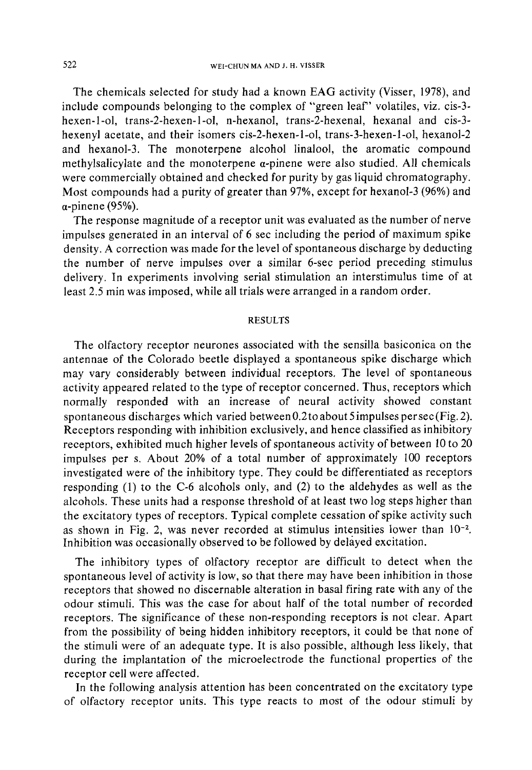The chemicals selected for study had a known EAG activity (Visser, 1978), and include compounds belonging to the complex of "green leaf" volatiles, viz. cis-3 hexen-l-ol, trans-2-hexen-l-ol, n-hexanol, trans-2-hexenal, hexanal and cis-3 hexenyl acetate, and their isomers cis-2-hexen-l-ol, trans-3-hexen-l-ol, hexanol-2 and hexanol-3. The monoterpene alcohol linalool, the aromatic compound methylsalicylate and the monoterpene a-pinene were also studied. All chemicals were commercially obtained and checked for purity by gas liquid chromatography. Most compounds had a purity of greater than 97%, except for hexanol-3 (96%) and  $\alpha$ -pinene (95%).

The response magnitude of a receptor unit was evaluated as the number of nerve impulses generated in an interval of 6 sec including the period of maximum spike density. A correction was made for the level of spontaneous discharge by deducting the number of nerve impulses over a similar 6-sec period preceding stimulus delivery. In experiments involving serial stimulation an interstimulus time of at least 2.5 min was imposed, while all trials were arranged in a random order.

#### **RESULTS**

The olfactory receptor neurones associated with the sensilla basiconica on the antennae of the Colorado beetle displayed a spontaneous spike discharge which may vary considerably between individual receptors. The level of spontaneous activity appeared related to the type of receptor concerned. Thus, receptors which normally responded with an increase of neural activity showed constant spontaneous discharges which varied between 0.2 to about 5 impulses per sec (Fig. 2). Receptors responding with inhibition exclusively, and hence classified as inhibitory receptors, exhibited much higher levels of spontaneous activity of between 10 to 20 impulses per s. About 20% of a total number of approximately 100 receptors investigated were of the inhibitory type. They could be differentiated as receptors responding (1) to the C-6 alcohols only, and (2) to the aldehydes as well as the alcohols. These units had a response threshold of at least two log steps higher than the excitatory types of receptors. Typical complete cessation of spike activity such as shown in Fig. 2, was never recorded at stimulus intensities lower than  $10^{-2}$ . Inhibition was occasionally observed to be followed by delayed excitation.

The inhibitory types of olfactory receptor are difficult to detect when the spontaneous level of activity is low, so that there may have been inhibition in those receptors that showed no discernable alteration in basal firing rate with any of the odour stimuli. This was the case for about half of the total number of recorded receptors. The significance of these non-responding receptors is not clear. Apart from the possibility of being hidden inhibitory receptors, it could be that none of the stimuli were of an adequate type. It is also possible, although less likely, that during the implantation of the microelectrode the functional properties of the receptor cell were affected.

In the following analysis attention has been concentrated on the excitatory type of olfactory receptor units. This type reacts to most of the odour stimuli by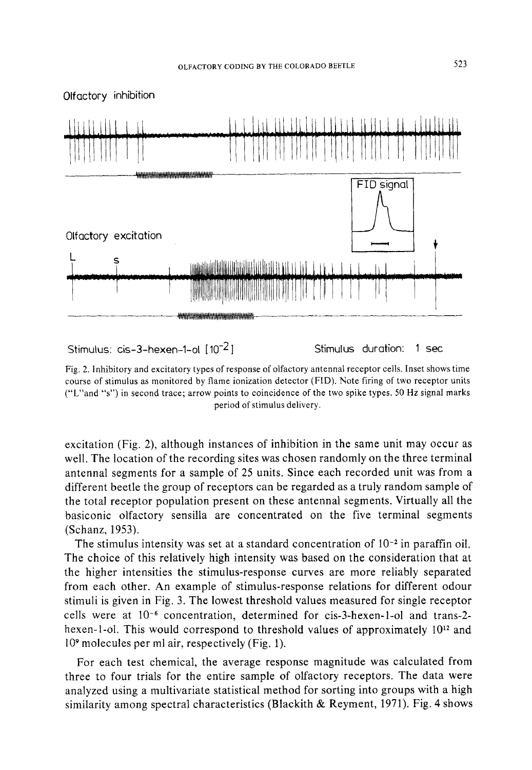

Stimulus: cis-3-hexen-1-ol [10<sup>-2</sup>] Stimulus duration: 1 sec

Fig. 2. Inhibitory and excitatory types of response of olfactory antennal receptor cells. Inset shows time course of stimulus as monitored by flame ionization detector (FID). Note firing of two receptor units ("L"and "s") in second trace; arrow points to coincidence of the two spike types. 50 Hz signal marks period of stimulus delivery.

excitation (Fig. 2), although instances of inhibition in the same unit may occur as well. The location of the recording sites was chosen randomly on the three terminal antennal segments for a sample of 25 units. Since each recorded unit was from a different beetle the group of receptors can be regarded as a truly random sample of the total receptor population present on these antennal segments. Virtually all the basiconic olfactory sensilla are concentrated on the five terminal segments (Schanz, 1953).

The stimulus intensity was set at a standard concentration of  $10^{-2}$  in paraffin oil. The choice of this relatively high intensity was based on the consideration that at the higher intensities the stimulus-response curves are more reliably separated from each other. An example of stimulus-response relations for different odour stimuli is given in Fig. 3. The lowest threshold values measured for single receptor cells were at  $10^{-6}$  concentration, determined for cis-3-hexen-1-ol and trans-2hexen-1-ol. This would correspond to threshold values of approximately  $10^{12}$  and 109 molecules per ml air, respectively (Fig. 1).

For each test chemical, the average response magnitude was calculated from three to four trials for the entire sample of olfactory receptors. The data were analyzed using a multivariate statistical method for sorting into groups with a high similarity among spectral characteristics (Blackith & Reyment, 1971). Fig. 4 shows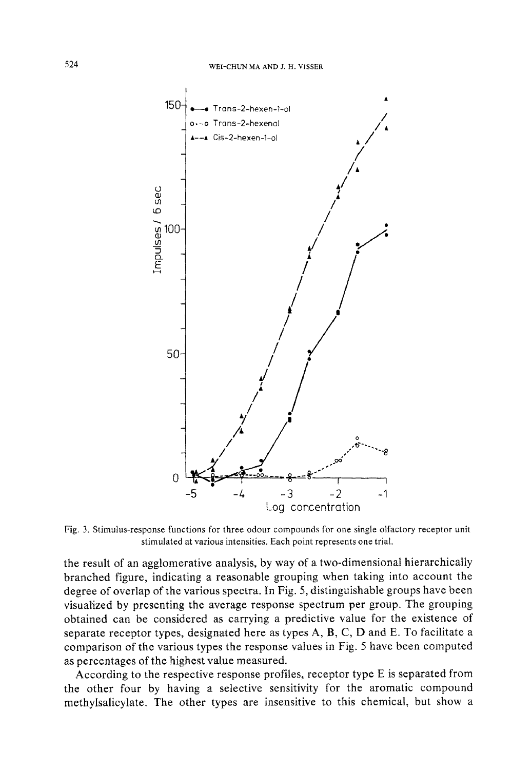

**Fig. 3. Stimulus-response functions for three odour compounds for one single olfactory receptor unit stimulated at various intensities, Each point represents one trial.** 

**the result of an agglomerative analysis, by way of a two-dimensional hierarchically branched figure, indicating a reasonable grouping when taking into account the degree of overlap of the various spectra. In Fig. 5, distinguishable groups have been visualized by presenting the average response spectrum per group. The grouping obtained can be considered as carrying a predictive value for the existence of separate receptor types, designated here as types A, B, C, D and E. To facilitate a comparison of the various types the response values in Fig. 5 have been computed as percentages of the highest value measured.** 

**According to the respective response profiles, receptor type E is separated from the other four by having a selective sensitivity for the aromatic compound methylsalicylate. The other types are insensitive to this chemical, but show a**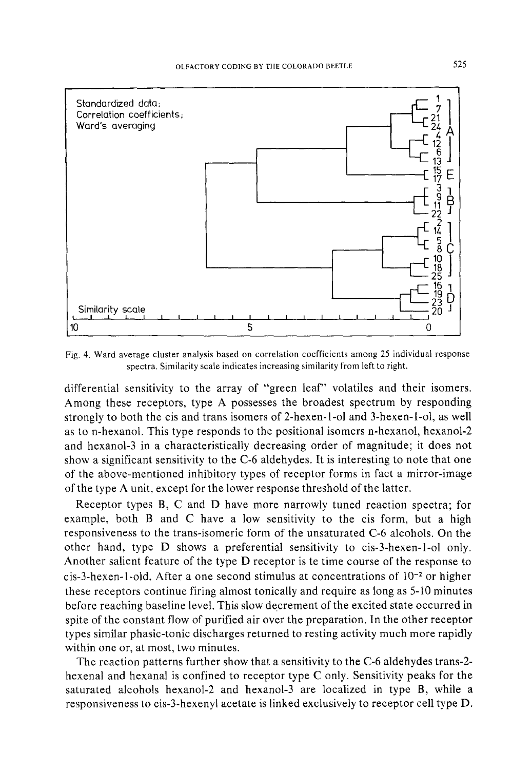

Fig. 4. Ward average cluster analysis based on correlation coefficients among 25 individual response spectra. Similarity scale indicates increasing similarity from left to right.

differential sensitivity to the array of "green leaf" volatiles and their isomers. Among these receptors, type A possesses the broadest spectrum by responding strongly to both the cis and trans isomers of 2-hexen-l-ol and 3-hexen-l-ol, as well as to n-hexanol. This type responds to the positional isomers n-hexanol, hexanol-2 and hexanol-3 in a characteristically decreasing order of magnitude; it does not show a significant sensitivity to the C-6 aldehydes. It is interesting to note that one of the above-mentioned inhibitory types of receptor forms in fact a mirror-image of the type A unit, except for the lower response threshold of the latter.

Receptor types B, C and D have more narrowly tuned reaction spectra; for example, both B and C have a low sensitivity to the cis form, but a high responsiveness to the trans-isomeric form of the unsaturated C-6 alcohols. On the other hand, type D shows a preferential sensitivity to cis-3-hexen-l-ol only. Another salient feature of the type D receptor is te time course of the response to cis-3-hexen-1-old. After a one second stimulus at concentrations of  $10^{-2}$  or higher these receptors continue firing almost tonically and require as long as 5-10 minutes before reaching baseline level. This slow decrement of the excited state occurred in spite of the constant flow of purified air over the preparation. In the other receptor types similar phasic-tonic discharges returned to resting activity much more rapidly within one or, at most, two minutes.

The reaction patterns further show that a sensitivity to the C-6 aldehydes trans-2 hexenal and hexanal is confined to receptor type C only. Sensitivity peaks for the saturated alcohols hexanol-2 and hexanol-3 are localized in type B, while a responsiveness to cis-3-hexenyl acetate is linked exclusively to receptor cell type D.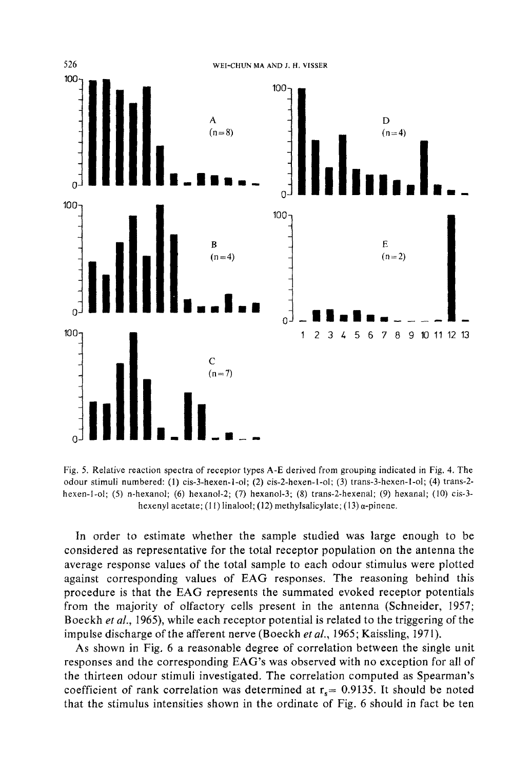

Fig. 5. Relative reaction spectra of receptor types A-E derived from grouping indicated in Fig. 4. The odour stimuli numbered: (1) cis-3-hexen-l-ol; (2) cis-2-hexen-l-ol; (3) trans-3-hexen-l-ol; (4) trans-2 hexen-l-ol; (5) n-hexanol; (6) hexanol-2; (7) hexanol-3; (8) trans-2-hexenal; (9) hexanal; (10) cis-3 hexenyl acetate; (11) linalool; (12) methylsalicylate; (13)  $\alpha$ -pinene.

In order to estimate whether the sample studied was large enough to be considered as representative for the total receptor population on the antenna the average response values of the total sample to each odour stimulus were plotted against corresponding values of EAG responses. The reasoning behind this procedure is that the EAG represents the summated evoked receptor potentials from the majority of olfactory cells present in the antenna (Schneider, 1957; Boeckh *et al.,* 1965), while each receptor potential is related to the triggering of the impulse discharge of the afferent nerve (Boeckh *et al.,* 1965; Kaissling, 1971).

As shown in Fig. 6 a reasonable degree of correlation between the single unit responses and the corresponding EAG's was observed with no exception for all of the thirteen odour stimuli investigated. The correlation computed as Spearman's coefficient of rank correlation was determined at  $r_s = 0.9135$ . It should be noted that the stimulus intensities shown in the ordinate of Fig. 6 should in fact be ten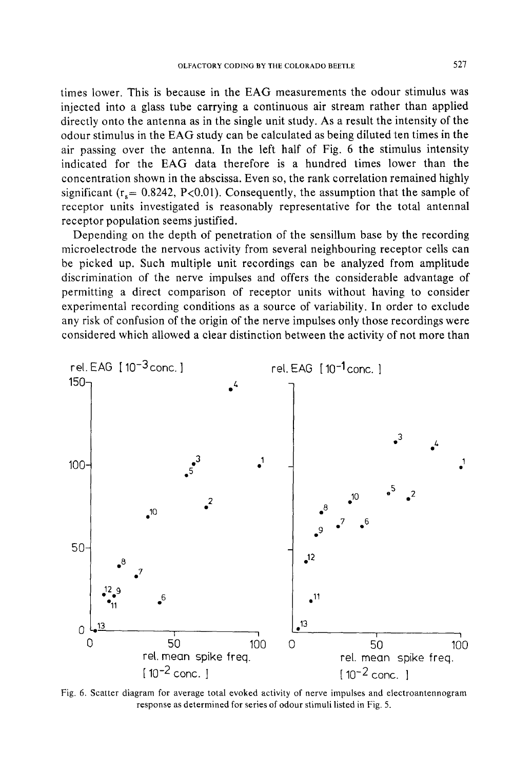times lower. This is because in the EAG measurements the odour stimulus was injected into a glass tube carrying a continuous air stream rather than applied directly onto the antenna as in the single unit study. As a result the intensity of the odour stimulus in the EAG study can be calculated as being diluted ten times in the air passing over the antenna. In the left half of Fig. 6 the stimulus intensity indicated for the EAG data therefore is a hundred times lower than the concentration shown in the abscissa. Even so, the rank correlation remained highly significant ( $r_s$  = 0.8242, P<0.01). Consequently, the assumption that the sample of receptor units investigated is reasonably representative for the total antennal receptor population seems justified.

Depending on the depth of penetration of the sensillum base by the recording microelectrode the nervous activity from several neighbouring receptor cells can be picked up. Such multiple unit recordings can be analyzed from amplitude discrimination of the nerve impulses and offers the considerable advantage of permitting a direct comparison of receptor units without having to consider experimental recording conditions as a source of variability. In order to exclude any risk of confusion of the origin of the nerve impulses only those recordings were considered which allowed a clear distinction between the activity of not more than



Fig. 6. Scatter diagram for average total evoked activity of nerve impulses and electroantennogram response as determined for series of odour stimuli listed in Fig. 5.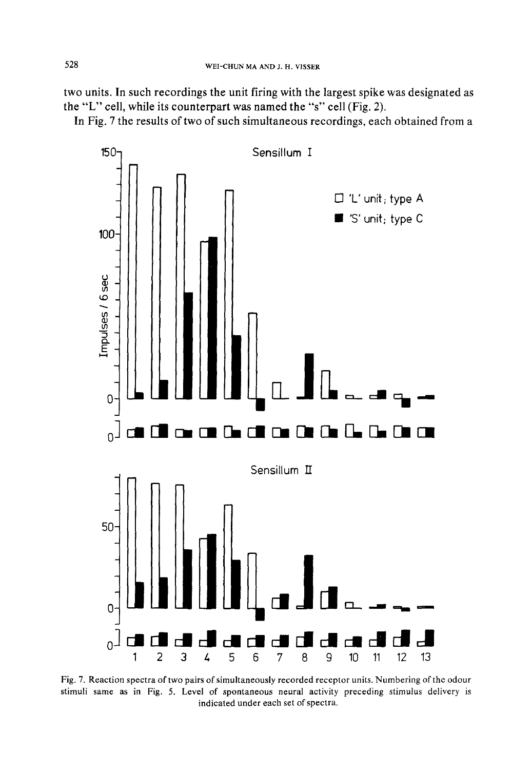two units. In such recordings the unit firing with the largest spike was designated as the "L" cell, while its counterpart was named the "s" cell (Fig. 2).

In Fig. 7 the results of two of such simultaneous recordings, each obtained from a



Fig. 7. Reaction spectra of two pairs of simultaneously recorded receptor units. Numbering of the odour stimuli same as in Fig. 5. Level of spontaneous neural activity preceding stimulus delivery is indicated under each set of spectra.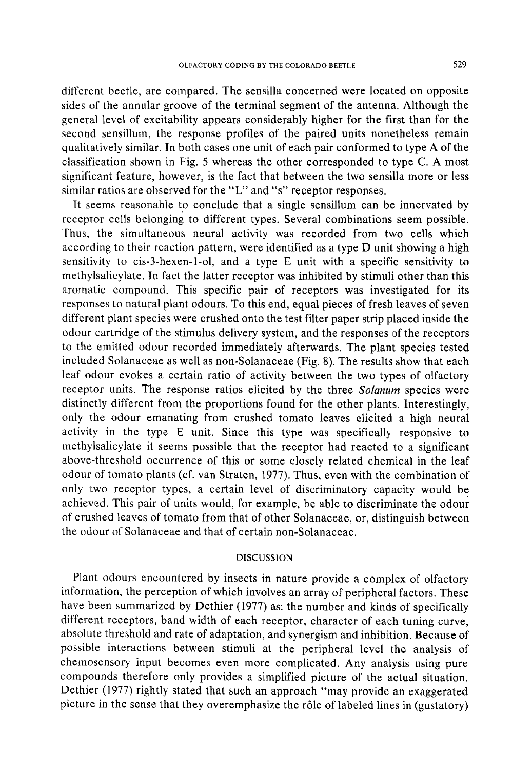different beetle, are compared. The sensilla concerned were located on opposite sides of the annular groove of the terminal segment of the antenna. Although the general level of excitability appears considerably higher for the first than for the second sensillum, the response profiles of the paired units nonetheless remain qualitatively similar. In both cases one unit of each pair conformed to type A of the classification shown in Fig. 5 whereas the other corresponded to type C. A most significant feature, however, is the fact that between the two sensilla more or less similar ratios are observed for the "L" and "s" receptor responses.

It seems reasonable to conclude that a single sensillum can be innervated by receptor cells belonging to different types. Several combinations seem possible. Thus, the simultaneous neural activity was recorded from two cells which according to their reaction pattern, were identified as a type D unit showing a high sensitivity to cis-3-hexen-l-ol, and a type E unit with a specific sensitivity to methylsalicylate. In fact the latter receptor was inhibited by stimuli other than this aromatic compound. This specific pair of receptors was investigated for its responses to natural plant odours. To this end, equal pieces of fresh leaves of seven different plant species were crushed onto the test filter paper strip placed inside the odour cartridge of the stimulus delivery system, and the responses of the receptors to the emitted odour recorded immediately afterwards. The plant species tested included Solanaceae as well as non-Solanaceae (Fig. 8). The results show that each leaf odour evokes a certain ratio of activity between the two types of olfactory receptor units. The response ratios elicited by the three *Solanum* species were distinctly different from the proportions found for the other plants. Interestingly, only the odour emanating from crushed tomato leaves elicited a high neural activity in the type E unit. Since this type was specifically responsive to methylsalicylate it seems possible that the receptor had reacted to a significant above-threshold occurrence of this or some closely related chemical in the leaf odour of tomato plants (cf. van Straten, 1977). Thus, even with the combination of only two receptor types, a certain level of discriminatory capacity would be achieved. This pair of units would, for example, be able to discriminate the odour of crushed leaves of tomato from that of other Solanaceae, or, distinguish between the odour of Solanaceae and that of certain non-Solanaceae.

#### DISCUSSION

Plant odours encountered by insects in nature provide a complex of olfactory information, the perception of which involves an array of peripheral factors. These have been summarized by Dethier (1977) as: the number and kinds of specifically different receptors, band width of each receptor, character of each tuning curve, absolute threshold and rate of adaptation, and synergism and inhibition. Because of possible interactions between stimuli at the peripheral level the analysis of chemosensory input becomes even more complicated. Any analysis using pure compounds therefore only provides a simplified picture of the actual situation. Dethier (1977) rightly stated that such an approach "may provide an exaggerated picture in the sense that they overemphasize the rôle of labeled lines in (gustatory)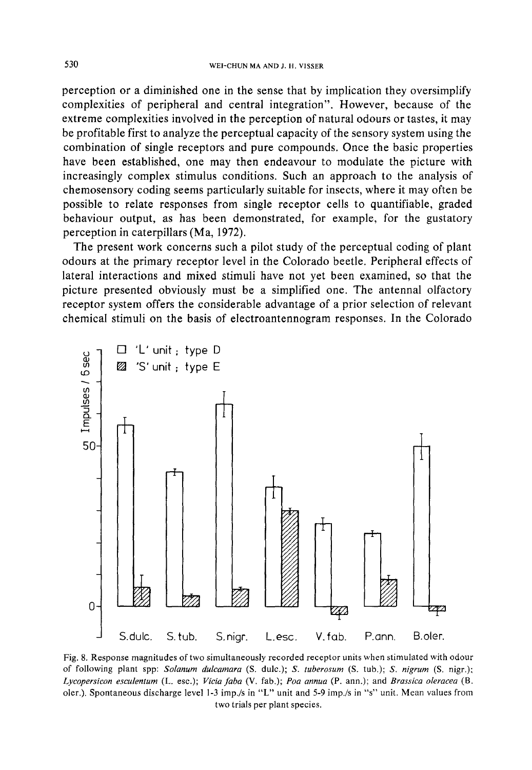perception or a diminished one in the sense that by implication they oversimplify complexities of peripheral and central integration". However, because of the extreme complexities involved in the perception of natural odours or tastes, it may be profitable first to analyze the perceptual capacity of the sensory system using the combination of single receptors and pure compounds. Once the basic properties have been established, one may then endeavour to modulate the picture with increasingly complex stimulus conditions. Such an approach to the analysis of chemosensory coding seems particularly suitable for insects, where it may often be possible to relate responses from single receptor cells to quantifiable, graded behaviour output, as has been demonstrated, for example, for the gustatory perception in caterpillars (Ma, 1972).

The present work concerns such a pilot study of the perceptual coding of plant odours at the primary receptor level in the Colorado beetle. Peripheral effects of lateral interactions and mixed stimuli have not yet been examined, so that the picture presented obviously must be a simplified one. The antennal olfactory receptor system offers the considerable advantage of a prior selection of relevant chemical stimuli on the basis of electroantennogram responses. In the Colorado



Fig. 8. Response magnitudes of two simultaneously recorded receptor units when stimulated with odour of following plant spp: *Solanum dulcamara* (S. dulc.); *S. tuberosum* (S. tub.); S. *nigrum* (S. nigr.): *Lycopersicon esculentum (L.* esc.); *Vicia faba* (V. fab.); *Poa annua* (P. ann.); and *Brassica oleracea* (B. oler.). Spontaneous discharge level 1-3 imp./s in "L" unit and 5-9 imp./s in "s" unit. Mean values from two trials per plant species.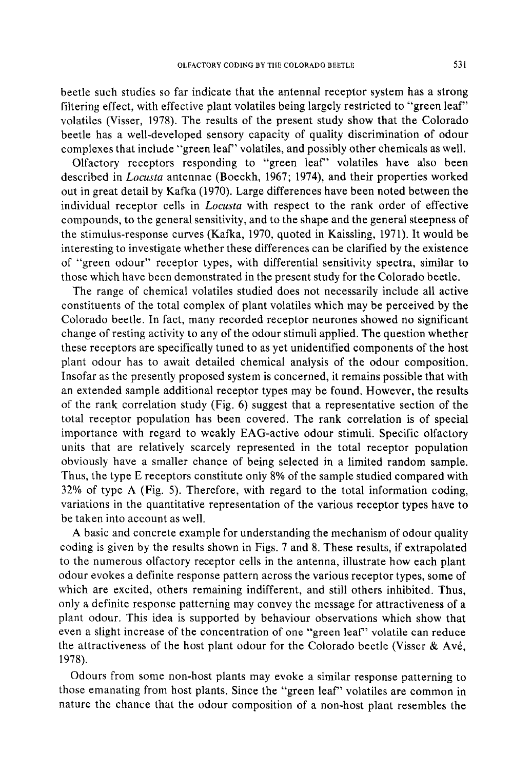beetle such studies so far indicate that the antennal receptor system has a strong filtering effect, with effective plant volatiles being largely restricted to "green leaf'' volatiles (Visser, 1978). The results of the present study show that the Colorado beetle has a well-developed sensory capacity of quality discrimination of odour complexes that include "green leaf" volatiles, and possibly other chemicals as well.

Olfactory receptors responding to "green leaf" volatiles have also been described in *Locusta* antennae (Boeckh, 1967; 1974), and their properties worked out in great detail by Kafka (1970). Large differences have been noted between the individual receptor cells in *Locusta* with respect to the rank order of effective compounds, to the general sensitivity, and to the shape and the general steepness of the stimulus-response curves (Kafka, 1970, quoted in Kaissling, 1971). It would be interesting to investigate whether these differences can be clarified by the existence of "green odour" receptor types, with differential sensitivity spectra, similar to those which have been demonstrated in the present study for the Colorado beetle.

The range of chemical volatiles studied does not necessarily include all active constituents of the total complex of plant volatiles which may be perceived by the Colorado beetle. In fact, many recorded receptor neurones showed no significant change of resting activity to any of the odour stimuli applied. The question whether these receptors are specifically tuned to as yet unidentified components of the host plant odour has to await detailed chemical analysis of the odour composition. Insofar as the presently proposed system is concerned, it remains possible that with an extended sample additional receptor types may be found. However, the results of the rank correlation study (Fig. 6) suggest that a representative section of the total receptor population has been covered. The rank correlation is of special importance with regard to weakly EAG-active odour stimuli. Specific olfactory units that are relatively scarcely represented in the total receptor population obviously have a smaller chance of being selected in a limited random sample. Thus, the type E receptors constitute only 8% of the sample studied compared with 32% of type A (Fig. 5). Therefore, with regard to the total information coding, variations in the quantitative representation of the various receptor types have to be taken into account as well.

A basic and concrete example for understanding the mechanism of odour quality coding is given by the results shown in Figs. 7 and 8. These results, if extrapolated to the numerous olfactory receptor cells in the antenna, illustrate how each plant odour evokes a definite response pattern across the various receptor types, some of which are excited, others remaining indifferent, and still others inhibited. Thus, only a definite response patterning may convey the message for attractiveness of a plant odour. This idea is supported by behaviour observations which show that even a slight increase of the concentration of one "green leaf" volatile can reduce the attractiveness of the host plant odour for the Colorado beetle (Visser & Av6, 1978).

Odours from some non-host plants may evoke a similar response patterning to those emanating from host plants. Since the "green leaf" volatiles are common in nature the chance that the odour composition of a non-host plant resembles the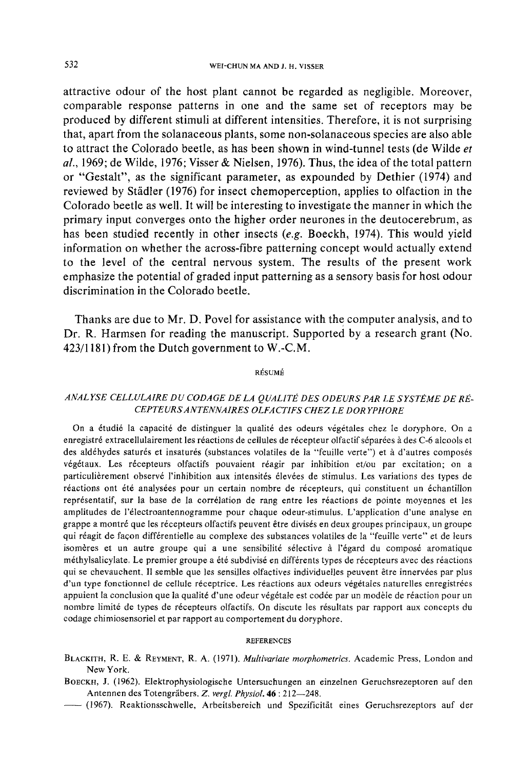attractive odour of the host plant cannot be regarded as negligible. Moreover, comparable response patterns in one and the same set of receptors may be produced by different stimuli at different intensities. Therefore, it is not surprising that, apart from the solanaceous plants, some non-solanaceous species are also able to attract the Colorado beetle, as has been shown in wind-tunnel tests (de Wilde *et al.,* 1969; de Wilde, 1976; Visser & Nielsen, 1976). Thus, the idea of the total pattern or "Gestalt", as the significant parameter, as expounded by Dethier (1974) and reviewed by Städler (1976) for insect chemoperception, applies to olfaction in the Colorado beetle as well. It will be interesting to investigate the manner in which the primary input converges onto the higher order neurones in the deutocerebrum, as has been studied recently in other insects *(e.g.* Boeckh, 1974). This would yield information on whether the across-fibre patterning concept would actually extend to the level of the central nervous system. The results of the present work emphasize the potential of graded input patterning as a sensory basis for host odour discrimination in the Colorado beetle.

Thanks are due to Mr. D. Povel for assistance with the computer analysis, and to Dr. R. Harmsen for reading the manuscript. Supported by a research grant (No. 423/1181) from the Dutch government to W.-C.M.

#### RÉSUMÉ

# *ANALYSE CELLULAIRE DU CODAGE DE LA QUALITE DES ODEURS PAR LE SYSTEME DE RI~- CEPTEURS ANTENNAIRES OLFACTIFS CHEZ LE DOR YPHORE*

On a étudié la capacité de distinguer la qualité des odeurs végétales chez le doryphore. On a enregistré extracellulairement les réactions de cellules de récepteur olfactif séparées à des C-6 alcools et des aldéhydes saturés et insaturés (substances volatiles de la "feuille verte") et à d'autres composés végétaux. Les récepteurs olfactifs pouvaient réagir par inhibition et/ou par excitation; on a particulièrement observé l'inhibition aux intensités élevées de stimulus. Les variations des types de réactions ont été analysées pour un certain nombre de récepteurs, qui constituent un échantillon représentatif, sur la base de la corrélation de rang entre les réactions de pointe moyennes et les amplitudes de l'électroantennogramme pour chaque odeur-stimulus. L'application d'une analyse en grappe a montré que les récepteurs olfactifs peuvent être divisés en deux groupes principaux, un groupe qui réagit de façon différentielle au complexe des substances volatiles de la "feuille verte" et de leurs isomères et un autre groupe qui a une sensibilité sélective à l'égard du composé aromatique méthylsalicylate. Le premier groupe a été subdivisé en différents types de récepteurs avec des réactions qui se chevauchent. Il semble que les sensilles olfactives individuelles peuvent être innervées par plus d'un type fonctionnel de cellule réceptrice. Les réactions aux odeurs végétales naturelles enregistrées appuient la conclusion que la qualité d'une odeur végétale est codée par un modèle de réaction pour un nombre limité de types de récepteurs olfactifs. On discute les résultats par rapport aux concepts du codage chimiosensoriel et par rapport au comportement du doryphore.

#### *REFERENCES*

- BLACKITH, R. E. & REYMENT, R. A. (1971). *Multivariate morphometrics*. Academic Press, London and New York.
- BOECKn, J. (1962). Elektrophysiologische Untersuchungen an einzelnen Geruchsrezeptoren auf den Antennen des Totengräbers, *Z, vergl. Physiol.* **46** : 212-248.
- **--** (1967). Reaktionsschwelle, Arbeitsbereich und Spezificit/it eines Geruchsrezeptors auf der